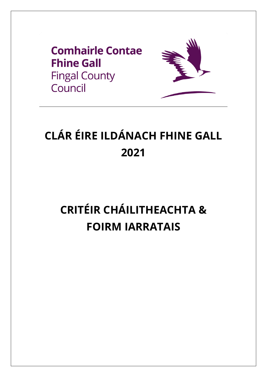



# CLÁR ÉIRE ILDÁNACH FHINE GALL 2021

# **CRITÉIR CHÁILITHEACHTA & FOIRM IARRATAIS**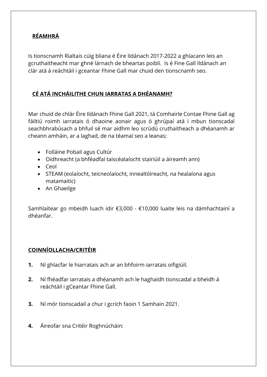#### **RÉAMHRÁ**

Is tionscnamh Rialtais cúig bliana é Éire Ildánach 2017-2022 a ghlacann leis an gcruthaitheacht mar ghné lárnach de bheartas poiblí. Is é Fine Gall Ildánach an clár atá á reáchtáil i gceantar Fhine Gall mar chuid den tionscnamh seo.

### **CÉ ATÁ INCHÁILITHE CHUN IARRATAS A DHÉANAMH?**

Mar chuid de chlár Éire Ildánach Fhine Gall 2021, tá Comhairle Contae Fhine Gall ag fáiltiú roimh iarratais ó dhaoine aonair agus ó ghrúpaí atá i mbun tionscadal seachbhrabúsach a bhfuil sé mar aidhm leo scrúdú cruthaitheach a dhéanamh ar cheann amháin, ar a laghad, de na téamaí seo a leanas;

- Folláine Pobail agus Cultúr
- Oidhreacht (a bhféadfaí taiscéalaíocht stairiúil a áireamh ann)
- Ceol
- STEAM (eolaíocht, teicneolaíocht, innealtóireacht, na healaíona agus matamaitic)
- An Ghaeilge

Samhlaítear go mbeidh luach idir €3,000 - €10,000 luaite leis na dámhachtainí a dhéanfar.

#### **COINNÍOLLACHA/CRITÉIR**

- **1.** Ní ghlacfar le hiarratais ach ar an bhfoirm iarratais oifigiúil.
- **2.** Ní fhéadfar iarratais a dhéanamh ach le haghaidh tionscadal a bheidh á reáchtáil i gCeantar Fhine Gall.
- **3.** Ní mór tionscadail a chur i gcrích faoin 1 Samhain 2021.
- **4.** Áireofar sna Critéir Roghnúcháin: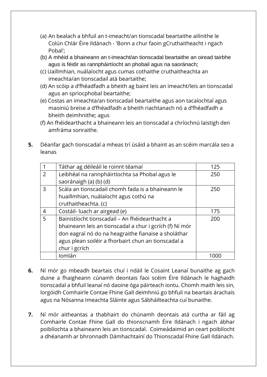- (a) An bealach a bhfuil an t-imeacht/an tionscadal beartaithe ailínithe le Colún Chlár Éire Ildánach - 'Bonn a chur faoin gCruthaitheacht i ngach Pobal';
- (b) A mhéid a bhaineann an t-imeacht/an tionscadal beartaithe an oiread tairbhe agus is féidir as rannpháirtíocht an phobail agus na saoránach;
- (c) Uaillmhian, nuálaíocht agus cumas cothaithe cruthaitheachta an imeachta/an tionscadail atá beartaithe;
- (d) An scóip a d'fhéadfadh a bheith ag baint leis an imeacht/leis an tionscadal agus an spriocphobal beartaithe;
- (e) Costas an imeachta/an tionscadail beartaithe agus aon tacaíochtaí agus maoiniú breise a d'fhéadfadh a bheith riachtanach nó a d'fhéadfadh a bheith deimhnithe; agus
- (f) An fhéidearthacht a bhaineann leis an tionscadal a chríochnú laistigh den amfráma sonraithe.
- **5.** Déanfar gach tionscadal a mheas trí úsáid a bhaint as an scéim marcála seo a leanas

|                | Táthar ag déileáil le roinnt téamaí                     | 125 |
|----------------|---------------------------------------------------------|-----|
| 2              | Leibhéal na rannpháirtíochta sa Phobal agus le          | 250 |
|                | saoránaigh (a) (b) (d)                                  |     |
| 3              | Scála an tionscadail chomh fada is a bhaineann le       | 250 |
|                | huaillmhian, nuálaíocht agus cothú na                   |     |
|                | cruthaitheachta. (c)                                    |     |
| $\overline{4}$ | Costáil-luach ar airgead (e)                            | 175 |
| 5              | Bainistíocht tionscadail - An fhéidearthacht a          | 200 |
|                | bhaineann leis an tionscadal a chur i gcrích (f) Ní mór |     |
|                | don eagraí nó do na heagraithe fianaise a sholáthar     |     |
|                | agus plean soiléir a fhorbairt chun an tionscadal a     |     |
|                | chur i gcrích                                           |     |
|                | Iomlán                                                  |     |

- **6.** Ní mór go mbeadh beartais chuí i ndáil le Cosaint Leanaí bunaithe ag gach duine a fhaigheann cúnamh deontais faoi scéim Éire Ildánach le haghaidh tionscadal a bhfuil leanaí nó daoine óga páirteach iontu. Chomh maith leis sin, lorgóidh Comhairle Contae Fhine Gall deimhniú go bhfuil na beartais árachais agus na Nósanna Imeachta Sláinte agus Sábháilteachta cuí bunaithe.
- **7.** Ní mór aitheantas a thabhairt do chúnamh deontais atá curtha ar fáil ag Comhairle Contae Fhine Gall do thionscnamh Éire Ildánach i ngach ábhar poiblíochta a bhaineann leis an tionscadal. Coimeádaimid an ceart poiblíocht a dhéanamh ar bhronnadh Dámhachtainí do Thionscadal Fhine Gall Ildánach.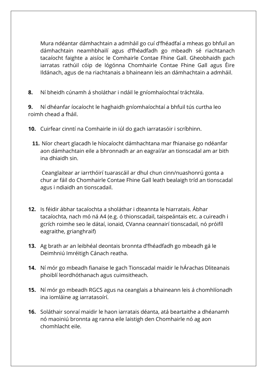Mura ndéantar dámhachtain a admháil go cuí d'fhéadfaí a mheas go bhfuil an dámhachtain neamhbhailí agus d'fhéadfadh go mbeadh sé riachtanach tacaíocht faighte a aisíoc le Comhairle Contae Fhine Gall. Gheobhaidh gach iarratas rathúil cóip de lógónna Chomhairle Contae Fhine Gall agus Éire Ildánach, agus de na riachtanais a bhaineann leis an dámhachtain a admháil.

**8.** Ní bheidh cúnamh á sholáthar i ndáil le gníomhaíochtaí tráchtála.

**9.** Ní dhéanfar íocaíocht le haghaidh gníomhaíochtaí a bhfuil tús curtha leo roimh chead a fháil.

- **10.** Cuirfear cinntí na Comhairle in iúl do gach iarratasóir i scríbhinn.
	- **11.** Níor cheart glacadh le híocaíocht dámhachtana mar fhianaise go ndéanfar aon dámhachtain eile a bhronnadh ar an eagraí/ar an tionscadal am ar bith ina dhiaidh sin.

Ceanglaítear ar iarrthóirí tuarascáil ar dhul chun cinn/nuashonrú gonta a chur ar fáil do Chomhairle Contae Fhine Gall leath bealaigh tríd an tionscadal agus i ndiaidh an tionscadail.

- **12.** Is féidir ábhar tacaíochta a sholáthar i dteannta le hiarratais. Ábhar tacaíochta, nach mó ná A4 (e.g. ó thionscadail, taispeántais etc. a cuireadh i gcrích roimhe seo le dátaí, ionaid, CVanna ceannairí tionscadail, nó próifíl eagraithe, grianghraif)
- **13.** Ag brath ar an leibhéal deontais bronnta d'fhéadfadh go mbeadh gá le Deimhniú Imréitigh Cánach reatha.
- **14.** Ní mór go mbeadh fianaise le gach Tionscadal maidir le hÁrachas Dliteanais phoiblí leordhóthanach agus cuimsitheach.
- **15.** Ní mór go mbeadh RGCS agus na ceanglais a bhaineann leis á chomhlíonadh ina iomláine ag iarratasoírí.
- **16.** Soláthair sonraí maidir le haon iarratais déanta, atá beartaithe a dhéanamh nó maoiniú bronnta ag ranna eile laistigh den Chomhairle nó ag aon chomhlacht eile.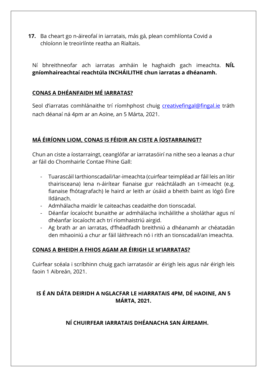**17.** Ba cheart go n-áireofaí in iarratais, más gá, plean comhlíonta Covid a chloíonn le treoirlínte reatha an Rialtais.

Ní bhreithneofar ach iarratas amháin le haghaidh gach imeachta. **NÍL gníomhaireachtaí reachtúla INCHÁILITHE chun iarratas a dhéanamh.** 

#### **CONAS A DHÉANFAIDH MÉ IARRATAS?**

Seol d'iarratas comhlánaithe trí ríomhphost chuig [creativefingal@fingal.ie](about:blank) tráth nach déanaí ná 4pm ar an Aoine, an 5 Márta, 2021.

#### **MÁ ÉIRÍONN LIOM, CONAS IS FÉIDIR AN CISTE A ÍOSTARRAINGT?**

Chun an ciste a íostarraingt, ceanglófar ar iarratasóirí na nithe seo a leanas a chur ar fáil do Chomhairle Contae Fhine Gall:

- Tuarascáil Iarthionscadail/Iar-imeachta (cuirfear teimpléad ar fáil leis an litir thairisceana) lena n-áirítear fianaise gur reáchtáladh an t-imeacht (e.g. fianaise fhótagrafach) le haird ar leith ar úsáid a bheith baint as lógó Éire Ildánach.
- Admhálacha maidir le caiteachas ceadaithe don tionscadal.
- Déanfar íocaíocht bunaithe ar admhálacha incháilithe a sholáthar agus ní dhéanfar íocaíocht ach trí ríomhaistriú airgid.
- Ag brath ar an iarratas, d'fhéadfadh breithniú a dhéanamh ar chéatadán den mhaoiniú a chur ar fáil láithreach nó i rith an tionscadail/an imeachta.

#### **CONAS A BHEIDH A FHIOS AGAM AR ÉIRIGH LE M'IARRATAS?**

Cuirfear scéala i scríbhinn chuig gach iarratasóir ar éirigh leis agus nár éirigh leis faoin 1 Aibreán, 2021.

#### **IS É AN DÁTA DEIRIDH A NGLACFAR LE HIARRATAIS 4PM, DÉ HAOINE, AN 5 MÁRTA, 2021.**

#### **NÍ CHUIRFEAR IARRATAIS DHÉANACHA SAN ÁIREAMH.**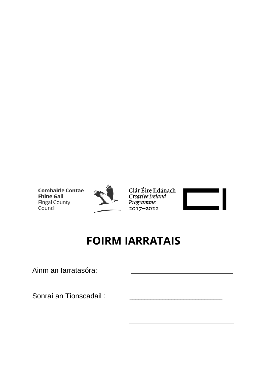



Clár Éire Ildánach Creative Ireland Programme  $2017 - 2022$ 



# **FOIRM IARRATAIS**

Ainm an Iarratasóra:

Sonraí an Tionscadail: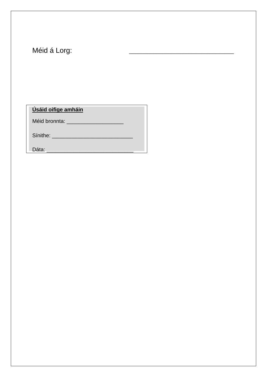Méid á Lorg:

Úsáid oifige amháin

Méid bronnta: \_\_\_\_\_\_\_\_\_\_\_\_\_\_\_\_\_\_\_\_\_\_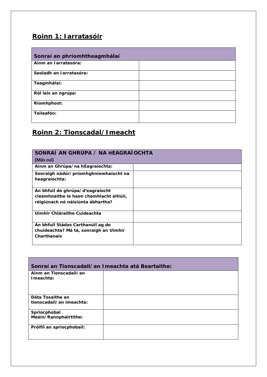# **Roinn 1: Iarratasóir**

| Sonraí an phríomhtheagmhálaí |  |
|------------------------------|--|
| Ainm an Iarratasóra:         |  |
| Seoladh an Iarratasóra:      |  |
| Teagmhálaí:                  |  |
| Ról leis an ngrúpa:          |  |
| Ríomhphost:                  |  |
| Teileafón:                   |  |

# **Roinn 2: Tionscadal/Imeacht**

| SONRAÍ AN GHRÚPA / NA HEAGRAÍOCHTA<br>(Más cuí)                                                                   |  |
|-------------------------------------------------------------------------------------------------------------------|--|
| Ainm an Ghrúpa/na hEagraíochta:                                                                                   |  |
| Sonraigh nádúr/príomhghníomhaíocht na<br>heagraíochta:                                                            |  |
| An bhfuil do ghrúpa/d'eagraíocht<br>cleamhnaithe le haon chomhlacht áitiúil,<br>réigiúnach nó náisiúnta ábhartha? |  |
| Uimhir Chláraithe Cuideachta                                                                                      |  |
| An bhfuil Stádas Carthanúil ag do<br>chuideachta? Má tá, sonraigh an Uimhir<br>Charthanais                        |  |

| Sonraí an Tionscadail/an Imeachta atá Beartaithe: |  |  |
|---------------------------------------------------|--|--|
| Ainm an Tionscadail/an<br>I meachta:              |  |  |
| Dáta Tosaithe an                                  |  |  |
| tionscadail/an imeachta:                          |  |  |
| Spriocphobal                                      |  |  |
| Meáin/Rannpháirtithe:                             |  |  |
| Próifíl an spriocphobail:                         |  |  |
|                                                   |  |  |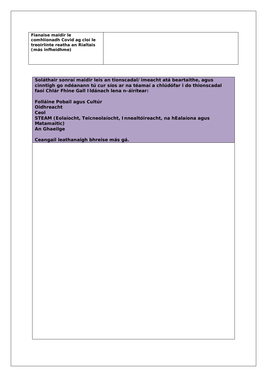| Fianaise maidir le<br>comhlíonadh Covid ag cloí le<br>treoirlínte reatha an Rialtais<br>(más infheidhme) |  |
|----------------------------------------------------------------------------------------------------------|--|
|                                                                                                          |  |

**Soláthair sonraí maidir leis an tionscadal/imeacht atá beartaithe, agus cinntigh go ndéanann tú cur síos ar na téamaí a chlúdófar i do thionscadal faoi Chlár Fhine Gall Ildánach lena n-áirítear:**

**Folláine Pobail agus Cultúr Oidhreacht Ceol STEAM (Eolaíocht, Teicneolaíocht, Innealtóireacht, na hEalaíona agus Matamaitic) An Ghaeilge**

**Ceangail leathanaigh bhreise más gá.**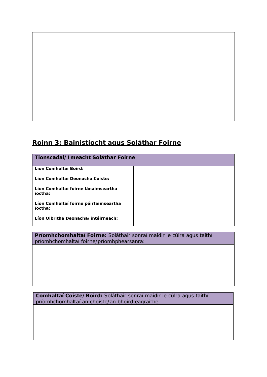### **Roinn 3: Bainistíocht agus Soláthar Foirne**

| Tionscadal/Imeacht Soláthar Foirne               |  |
|--------------------------------------------------|--|
| Líon Comhaltaí Boird:                            |  |
| Líon Comhaltaí Deonacha Coiste:                  |  |
| Líon Comhaltaí foirne lánaimseartha<br>íoctha:   |  |
| Líon Comhaltaí foirne páirtaimseartha<br>íoctha: |  |
| Líon Oibrithe Deonacha/intéirneach:              |  |

**Príomhchomhaltaí Foirne:** Soláthair sonraí maidir le cúlra agus taithí príomhchomhaltaí foirne/príomhphearsanra:

**Comhaltaí Coiste/Boird:** Soláthair sonraí maidir le cúlra agus taithí príomhchomhaltaí an choiste/an bhoird eagraithe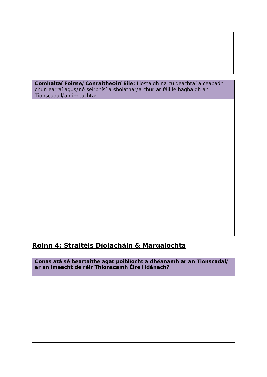**Comhaltaí Foirne/Conraitheoirí Eile:** Liostaigh na cuideachtaí a ceapadh chun earraí agus/nó seirbhísí a sholáthar/a chur ar fáil le haghaidh an Tionscadail/an imeachta:

#### **Roinn 4: Straitéis Díolacháin & Margaíochta**

**Conas atá sé beartaithe agat poiblíocht a dhéanamh ar an Tionscadal/ ar an imeacht de réir Thionscamh Éire Ildánach?**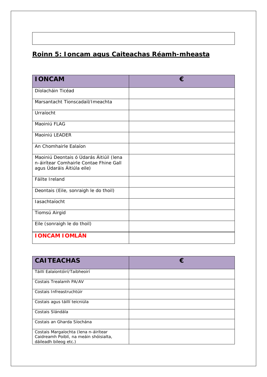# **Roinn 5: Ioncam agus Caiteachas Réamh-mheasta**

| <b>IONCAM</b>                                                                                                   | € |
|-----------------------------------------------------------------------------------------------------------------|---|
| Díolacháin Ticéad                                                                                               |   |
| Marsantacht Tionscadail/Imeachta                                                                                |   |
| Urraíocht                                                                                                       |   |
| Maoiniú FLAG                                                                                                    |   |
| Maoiniú LEADER                                                                                                  |   |
| An Chomhairle Ealaíon                                                                                           |   |
| Maoiniú Deontais ó Údarás Áitiúil (lena<br>n-áirítear Comhairle Contae Fhine Gall<br>agus Údaráis Áitiúla eile) |   |
| Fáilte Ireland                                                                                                  |   |
| Deontais (Eile, sonraigh le do thoil)                                                                           |   |
| lasachtaíocht                                                                                                   |   |
| Tiomsú Airgid                                                                                                   |   |
| Eile (sonraigh le do thoil)                                                                                     |   |
| <b>IONCAM IOMLÁN</b>                                                                                            |   |

| <b>CAITEACHAS</b>                                                                                       |  |
|---------------------------------------------------------------------------------------------------------|--|
| Táillí Ealaíontóirí/Taibheoirí                                                                          |  |
| Costais Trealamh PA/AV                                                                                  |  |
| Costais Infreastruchtúir                                                                                |  |
| Costais agus táillí teicniúla                                                                           |  |
| Costais Slándála                                                                                        |  |
| Costais an Gharda Síochána                                                                              |  |
| Costais Margaíochta (lena n-áirítear<br>Caidreamh Poiblí, na meáin shóisialta,<br>dáileadh bileog etc.) |  |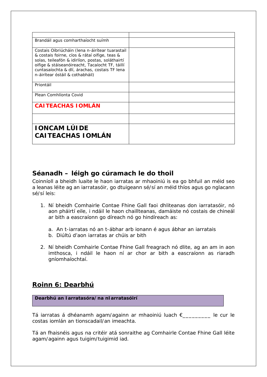| Brandáil agus comharthaíocht suímh                                                                                                                                                                                                                                                          |  |
|---------------------------------------------------------------------------------------------------------------------------------------------------------------------------------------------------------------------------------------------------------------------------------------------|--|
| Costais Oibriúcháin (lena n-áirítear tuarastail<br>& costais foirne, cíos & rátaí oifige, teas &<br>solas, teileafón & idirlíon, postas, soláthairtí<br>oifige & stáiseanóireacht, Tacaíocht TF, táillí<br>cuntasaíochta & dlí, árachas, costais TF lena<br>n-áirítear óstáil & cothabháil) |  |
| Priontáil                                                                                                                                                                                                                                                                                   |  |
| Plean Comhlíonta Covid                                                                                                                                                                                                                                                                      |  |
| <b>CAITEACHAS IOMLÁN</b>                                                                                                                                                                                                                                                                    |  |
|                                                                                                                                                                                                                                                                                             |  |
| <b>IONCAM LÚIDE</b>                                                                                                                                                                                                                                                                         |  |
| <b>CAITEACHAS IOMLÁN</b>                                                                                                                                                                                                                                                                    |  |

#### **Séanadh – léigh go cúramach le do thoil**

Coinníoll a bheidh luaite le haon iarratas ar mhaoiniú is ea go bhfuil an méid seo a leanas léite ag an iarratasóir, go dtuigeann sé/sí an méid thíos agus go nglacann sé/sí leis:

- 1. Ní bheidh Comhairle Contae Fhine Gall faoi dhliteanas don iarratasóir, nó aon pháirtí eile, i ndáil le haon chaillteanas, damáiste nó costais de chineál ar bith a eascraíonn go díreach nó go hindíreach as:
	- a. An t-iarratas nó an t-ábhar arb ionann é agus ábhar an iarratais
	- b. Diúltú d'aon iarratas ar chúis ar bith
- 2. Ní bheidh Comhairle Contae Fhine Gall freagrach nó dlite, ag an am in aon imthosca, i ndáil le haon ní ar chor ar bith a eascraíonn as riaradh gníomhaíochtaí.

## **Roinn 6: Dearbhú**

**Dearbhú an Iarratasóra/na nIarratasóirí**

Tá iarratas á dhéanamh agam/againn ar mhaoiniú luach €\_\_\_\_\_\_\_\_\_ le cur le costas iomlán an tionscadail/an imeachta.

Tá an fhaisnéis agus na critéir atá sonraithe ag Comhairle Contae Fhine Gall léite agam/againn agus tuigim/tuigimid iad.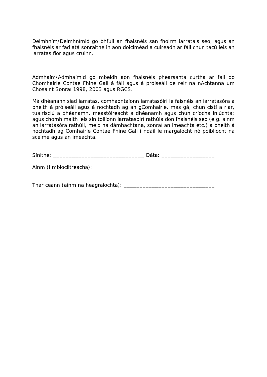Deimhním/Deimhnímid go bhfuil an fhaisnéis san fhoirm iarratais seo, agus an fhaisnéis ar fad atá sonraithe in aon doiciméad a cuireadh ar fáil chun tacú leis an iarratas fíor agus cruinn.

Admhaím/Admhaímid go mbeidh aon fhaisnéis phearsanta curtha ar fáil do Chomhairle Contae Fhine Gall á fáil agus á próiseáil de réir na nAchtanna um Chosaint Sonraí 1998, 2003 agus RGCS.

Má dhéanann siad iarratas, comhaontaíonn iarratasóirí le faisnéis an iarratasóra a bheith á próiseáil agus á nochtadh ag an gComhairle, más gá, chun cistí a riar, tuairisciú a dhéanamh, meastóireacht a dhéanamh agus chun críocha iniúchta; agus chomh maith leis sin toilíonn iarratasóirí rathúla don fhaisnéis seo (e.g. ainm an iarratasóra rathúil, méid na dámhachtana, sonraí an imeachta etc.) a bheith á nochtadh ag Comhairle Contae Fhine Gall i ndáil le margaíocht nó poiblíocht na scéime agus an imeachta.

Ainm (i mbloclitreacha):\_\_\_\_\_\_\_\_\_\_\_\_\_\_\_\_\_\_\_\_\_\_\_\_\_\_\_\_\_\_\_\_\_\_\_\_\_\_

Thar ceann (ainm na heagraíochta): \_\_\_\_\_\_\_\_\_\_\_\_\_\_\_\_\_\_\_\_\_\_\_\_\_\_\_\_\_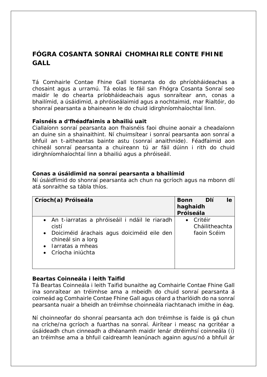# **FÓGRA COSANTA SONRAÍ CHOMHAIRLE CONTE FHINE GALL**

Tá Comhairle Contae Fhine Gall tiomanta do do phríobháideachas a chosaint agus a urramú. Tá eolas le fáil san Fhógra Cosanta Sonraí seo maidir le do chearta príobháideachais agus sonraítear ann, conas a bhailímid, a úsáidimid, a phróiseálaimid agus a nochtaimid, mar Rialtóir, do shonraí pearsanta a bhaineann le do chuid idirghníomhaíochtaí linn.

#### **Faisnéis a d'fhéadfaimis a bhailiú uait**

Ciallaíonn sonraí pearsanta aon fhaisnéis faoi dhuine aonair a cheadaíonn an duine sin a shainaithint. Ní chuimsítear i sonraí pearsanta aon sonraí a bhfuil an t-aitheantas bainte astu (sonraí anaithnide). Féadfaimid aon chineál sonraí pearsanta a chuireann tú ar fáil dúinn i rith do chuid idirghníomhaíochtaí linn a bhailiú agus a phróiseáil.

#### **Conas a úsáidimid na sonraí pearsanta a bhailímid**

Ní úsáidfimid do shonraí pearsanta ach chun na gcríoch agus na mbonn dlí atá sonraithe sa tábla thíos.

| Críoch(a) Próiseála                                                                                                                                                                | <b>Dlí</b><br><b>Bonn</b><br>le<br>haghaidh<br>Próiseála |
|------------------------------------------------------------------------------------------------------------------------------------------------------------------------------------|----------------------------------------------------------|
| • An t-iarratas a phróiseáil i ndáil le riaradh<br>cistí<br>• Doiciméid árachais agus doiciméid eile den<br>chineál sin a lorg<br>$\bullet$ larratas a mheas<br>• Críocha iniúchta | Critéir<br>Cháilitheachta<br>faoin Scéim                 |

#### **Beartas Coinneála i leith Taifid**

Tá Beartas Coinneála i leith Taifid bunaithe ag Comhairle Contae Fhine Gall ina sonraítear an tréimhse ama a mbeidh do chuid sonraí pearsanta á coimeád ag Comhairle Contae Fhine Gall agus céard a tharlóidh do na sonraí pearsanta nuair a bheidh an tréimhse choinneála riachtanach imithe in éag.

Ní choinneofar do shonraí pearsanta ach don tréimhse is faide is gá chun na críche/na gcríoch a fuarthas na sonraí. Áirítear i measc na gcritéar a úsáideadh chun cinneadh a dhéanamh maidir lenár dtréimhsí coinneála (i) an tréimhse ama a bhfuil caidreamh leanúnach againn agus/nó a bhfuil ár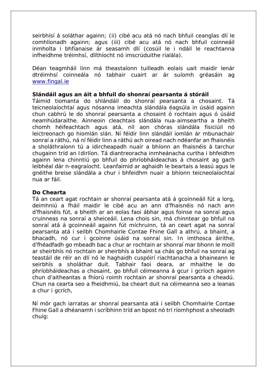seirbhísí á soláthar againn; (ii) cibé acu atá nó nach bhfuil ceanglas dlí le comhlíonadh againn; agus (iii) cibé acu atá nó nach bhfuil coinneáil inmholta i bhfianaise ár seasamh dlí (cosúil le i ndáil le reachtanna infheidhme tréimhsí, dlíthíocht nó imscrúduithe rialála).

Déan teagmháil linn má theastaíonn tuilleadh eolais uait maidir lenár dtréimhsí coinneála nó tabhair cuairt ar ár suíomh gréasáin ag [www.fingal.ie](about:blank) 

#### **Slándáil agus an áit a bhfuil do shonraí pearsanta á stóráil**

Táimid tiomanta do shlándáil do shonraí pearsanta a chosaint. Tá teicneolaíochtaí agus nósanna imeachta slándála éagsúla in úsáid againn chun cabhrú le do shonraí pearsanta a chosaint ó rochtain agus ó úsáid neamhúdaraithe. Ainneoin cleachtais slándála nua-aimseartha a bheith chomh héifeachtach agus atá, níl aon chóras slándála fisiciúil nó leictreonach go hiomlán slán. Ní féidir linn slándáil iomlán ár mbunachair sonraí a ráthú, ná ní féidir linn a ráthú ach oiread nach ndéanfar an fhaisnéis a sholáthraíonn tú a idircheapadh nuair a bhíonn an fhaisnéis á tarchur chugainn tríd an Idirlíon. Tá diantreoracha inmheánacha curtha i bhfeidhm againn lena chinntiú go bhfuil do phríobháideachas á chosaint ag gach leibhéal dár n-eagraíocht. Leanfaimid ar aghaidh le beartais a leasú agus le gnéithe breise slándála a chur i bhfeidhm nuair a bhíonn teicneolaíochtaí nua ar fáil.

#### **Do Chearta**

Tá an ceart agat rochtain ar shonraí pearsanta atá á gcoinneáil fút a lorg, deimhniú a fháil maidir le cibé acu an ann d'fhaisnéis nó nach ann d'fhaisnéis fút, a bheith ar an eolas faoi ábhar agus foinse na sonraí agus cruinneas na sonraí a sheiceáil. Lena chois sin, má chinntear go bhfuil na sonraí atá á gcoinneáil againn fút míchruinn, tá an ceart agat na sonraí pearsanta atá i seilbh Chomhairle Contae Fhine Gall a athrú, a bhaint, a bhacadh, nó cur i gcoinne úsáid na sonraí sin. In imthosca áirithe, d'fhéadfadh go mbeadh bac a chur ar rochtain ar shonraí mar bhonn le moill ar sheirbhís nó rochtain ar sheirbhís a bhaint sa chás go bhfuil na sonraí ag teastáil de réir an dlí nó le haghaidh cuspóirí riachtanacha a bhaineann le seirbhís a sholáthar duit. Tabhair faoi deara, ar mhaithe le do phríobháideachas a chosaint, go bhfuil céimeanna á gcur i gcríoch againn chun d'aitheantas a fhíorú roimh rochtain ar shonraí pearsanta a cheadú. Chun na cearta seo a fheidhmiú, ba cheart duit na céimeanna seo a leanas a chur i gcrích,

Ní mór gach iarratas ar shonraí pearsanta atá i seilbh Chomhairle Contae Fhine Gall a dhéanamh i scríbhinn tríd an bpost nó trí ríomhphost a sheoladh chuig: